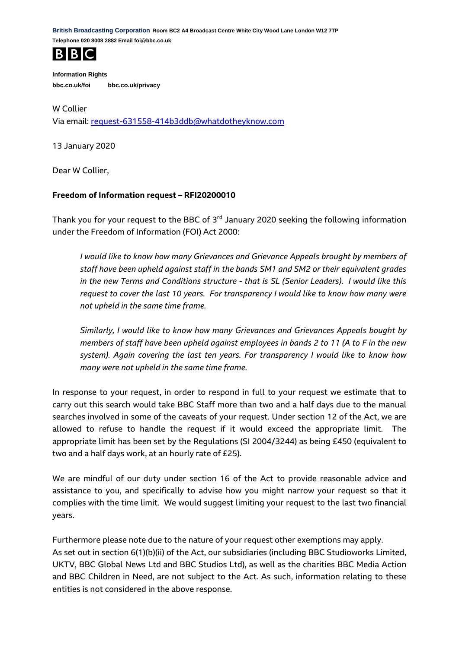**British Broadcasting Corporation Room BC2 A4 Broadcast Centre White City Wood Lane London W12 7TP Telephone 020 8008 2882 Email foi@bbc.co.uk**



**Information Rights bbc.co.uk/foi bbc.co.uk/privacy**

W Collier Via email: [request-631558-414b3ddb@whatdotheyknow.com](mailto:xxxxxxxxxxxxxxxxxxxxxxx@xxxxxxxxxxxxxx.xxx)

13 January 2020

Dear W Collier,

## **Freedom of Information request – RFI20200010**

Thank you for your request to the BBC of 3<sup>rd</sup> January 2020 seeking the following information under the Freedom of Information (FOI) Act 2000:

*I would like to know how many Grievances and Grievance Appeals brought by members of staff have been upheld against staff in the bands SM1 and SM2 or their equivalent grades in the new Terms and Conditions structure - that is SL (Senior Leaders). I would like this request to cover the last 10 years. For transparency I would like to know how many were not upheld in the same time frame.*

*Similarly, I would like to know how many Grievances and Grievances Appeals bought by members of staff have been upheld against employees in bands 2 to 11 (A to F in the new system). Again covering the last ten years. For transparency I would like to know how many were not upheld in the same time frame.*

In response to your request, in order to respond in full to your request we estimate that to carry out this search would take BBC Staff more than two and a half days due to the manual searches involved in some of the caveats of your request. Under section 12 of the Act, we are allowed to refuse to handle the request if it would exceed the appropriate limit. The appropriate limit has been set by the Regulations (SI 2004/3244) as being £450 (equivalent to two and a half days work, at an hourly rate of £25).

We are mindful of our duty under section 16 of the Act to provide reasonable advice and assistance to you, and specifically to advise how you might narrow your request so that it complies with the time limit. We would suggest limiting your request to the last two financial years.

Furthermore please note due to the nature of your request other exemptions may apply. As set out in section 6(1)(b)(ii) of the Act, our subsidiaries (including BBC Studioworks Limited, UKTV, BBC Global News Ltd and BBC Studios Ltd), as well as the charities BBC Media Action and BBC Children in Need, are not subject to the Act. As such, information relating to these entities is not considered in the above response.